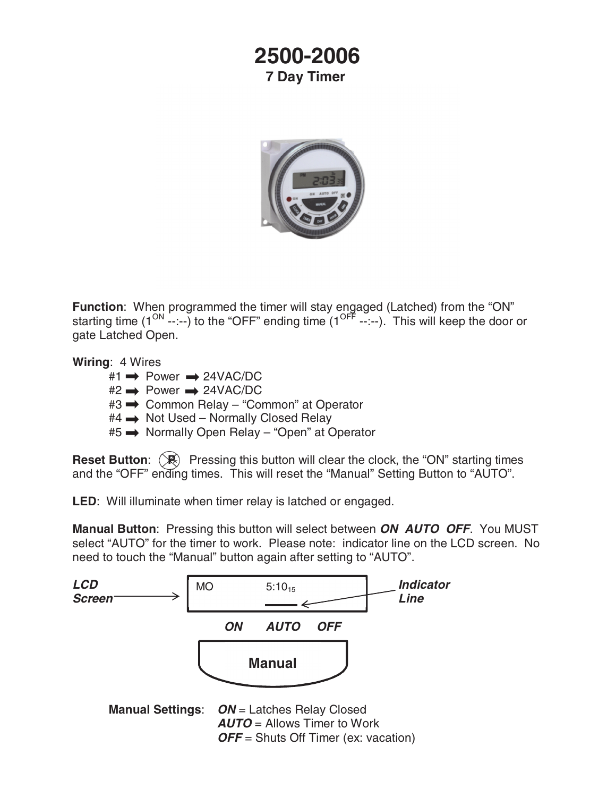## **2500-2006 7 Day Timer**



**Function**: When programmed the timer will stay engaged (Latched) from the "ON" starting time  $(1^{ON}$  --:--) to the "OFF" ending time  $(1^{OF}$  --:--). This will keep the door or gate Latched Open.

**Wiring**: 4 Wires

- $#1 \rightarrow$  Power  $\rightarrow$  24VAC/DC
- $#2 \rightarrow Power \rightarrow 24VAC/DC$
- #3 → Common Relay "Common" at Operator
- $#4 \rightarrow$  Not Used Normally Closed Relay
- #5 → Normally Open Relay "Open" at Operator

**Reset Button:**  $(\mathbb{R})$  Pressing this button will clear the clock, the "ON" starting times and the "OFF" ending times. This will reset the "Manual" Setting Button to "AUTO".

**LED**: Will illuminate when timer relay is latched or engaged.

**Manual Button**: Pressing this button will select between *ON AUTO OFF*. You MUST select "AUTO" for the timer to work. Please note: indicator line on the LCD screen. No need to touch the "Manual" button again after setting to "AUTO".